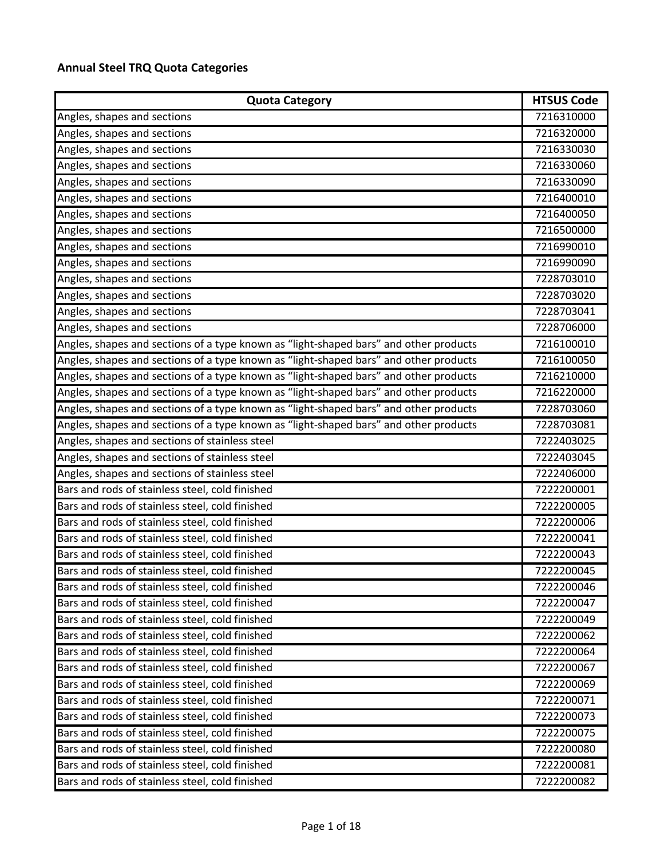## **Annual Steel TRQ Quota Categories**

| <b>Quota Category</b>                                                                 | <b>HTSUS Code</b> |
|---------------------------------------------------------------------------------------|-------------------|
| Angles, shapes and sections                                                           | 7216310000        |
| Angles, shapes and sections                                                           | 7216320000        |
| Angles, shapes and sections                                                           | 7216330030        |
| Angles, shapes and sections                                                           | 7216330060        |
| Angles, shapes and sections                                                           | 7216330090        |
| Angles, shapes and sections                                                           | 7216400010        |
| Angles, shapes and sections                                                           | 7216400050        |
| Angles, shapes and sections                                                           | 7216500000        |
| Angles, shapes and sections                                                           | 7216990010        |
| Angles, shapes and sections                                                           | 7216990090        |
| Angles, shapes and sections                                                           | 7228703010        |
| Angles, shapes and sections                                                           | 7228703020        |
| Angles, shapes and sections                                                           | 7228703041        |
| Angles, shapes and sections                                                           | 7228706000        |
| Angles, shapes and sections of a type known as "light-shaped bars" and other products | 7216100010        |
| Angles, shapes and sections of a type known as "light-shaped bars" and other products | 7216100050        |
| Angles, shapes and sections of a type known as "light-shaped bars" and other products | 7216210000        |
| Angles, shapes and sections of a type known as "light-shaped bars" and other products | 7216220000        |
| Angles, shapes and sections of a type known as "light-shaped bars" and other products | 7228703060        |
| Angles, shapes and sections of a type known as "light-shaped bars" and other products | 7228703081        |
| Angles, shapes and sections of stainless steel                                        | 7222403025        |
| Angles, shapes and sections of stainless steel                                        | 7222403045        |
| Angles, shapes and sections of stainless steel                                        | 7222406000        |
| Bars and rods of stainless steel, cold finished                                       | 7222200001        |
| Bars and rods of stainless steel, cold finished                                       | 7222200005        |
| Bars and rods of stainless steel, cold finished                                       | 7222200006        |
| Bars and rods of stainless steel, cold finished                                       | 7222200041        |
| Bars and rods of stainless steel, cold finished                                       | 7222200043        |
| Bars and rods of stainless steel, cold finished                                       | 7222200045        |
| Bars and rods of stainless steel, cold finished                                       | 7222200046        |
| Bars and rods of stainless steel, cold finished                                       | 7222200047        |
| Bars and rods of stainless steel, cold finished                                       | 7222200049        |
| Bars and rods of stainless steel, cold finished                                       | 7222200062        |
| Bars and rods of stainless steel, cold finished                                       | 7222200064        |
| Bars and rods of stainless steel, cold finished                                       | 7222200067        |
| Bars and rods of stainless steel, cold finished                                       | 7222200069        |
| Bars and rods of stainless steel, cold finished                                       | 7222200071        |
| Bars and rods of stainless steel, cold finished                                       | 7222200073        |
| Bars and rods of stainless steel, cold finished                                       | 7222200075        |
| Bars and rods of stainless steel, cold finished                                       | 7222200080        |
| Bars and rods of stainless steel, cold finished                                       | 7222200081        |
| Bars and rods of stainless steel, cold finished                                       | 7222200082        |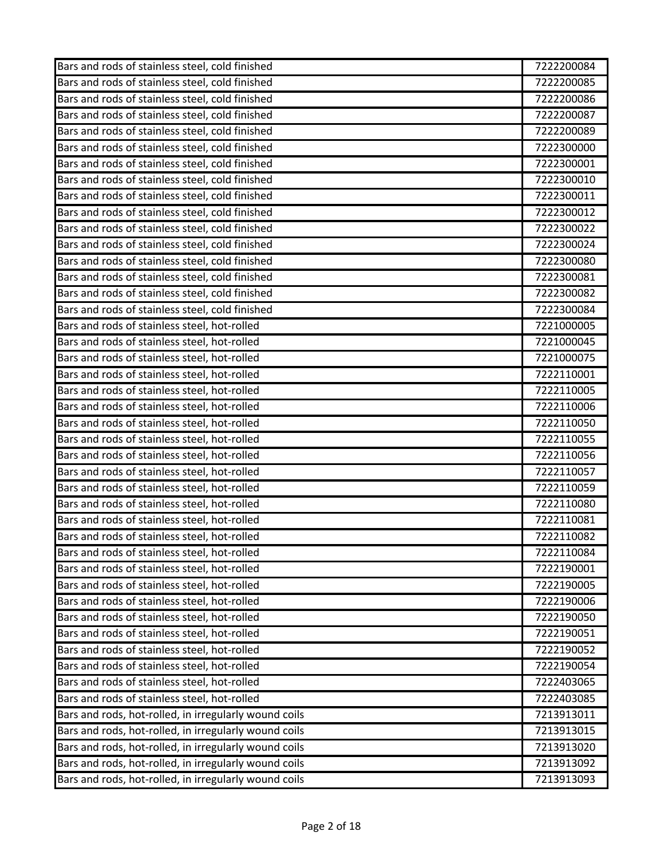| Bars and rods of stainless steel, cold finished       | 7222200084 |
|-------------------------------------------------------|------------|
| Bars and rods of stainless steel, cold finished       | 7222200085 |
| Bars and rods of stainless steel, cold finished       | 7222200086 |
| Bars and rods of stainless steel, cold finished       | 7222200087 |
| Bars and rods of stainless steel, cold finished       | 7222200089 |
| Bars and rods of stainless steel, cold finished       | 7222300000 |
| Bars and rods of stainless steel, cold finished       | 7222300001 |
| Bars and rods of stainless steel, cold finished       | 7222300010 |
| Bars and rods of stainless steel, cold finished       | 7222300011 |
| Bars and rods of stainless steel, cold finished       | 7222300012 |
| Bars and rods of stainless steel, cold finished       | 7222300022 |
| Bars and rods of stainless steel, cold finished       | 7222300024 |
| Bars and rods of stainless steel, cold finished       | 7222300080 |
| Bars and rods of stainless steel, cold finished       | 7222300081 |
| Bars and rods of stainless steel, cold finished       | 7222300082 |
| Bars and rods of stainless steel, cold finished       | 7222300084 |
| Bars and rods of stainless steel, hot-rolled          | 7221000005 |
| Bars and rods of stainless steel, hot-rolled          | 7221000045 |
| Bars and rods of stainless steel, hot-rolled          | 7221000075 |
| Bars and rods of stainless steel, hot-rolled          | 7222110001 |
| Bars and rods of stainless steel, hot-rolled          | 7222110005 |
| Bars and rods of stainless steel, hot-rolled          | 7222110006 |
| Bars and rods of stainless steel, hot-rolled          | 7222110050 |
| Bars and rods of stainless steel, hot-rolled          | 7222110055 |
| Bars and rods of stainless steel, hot-rolled          | 7222110056 |
| Bars and rods of stainless steel, hot-rolled          | 7222110057 |
| Bars and rods of stainless steel, hot-rolled          | 7222110059 |
| Bars and rods of stainless steel, hot-rolled          | 7222110080 |
| Bars and rods of stainless steel, hot-rolled          | 7222110081 |
| Bars and rods of stainless steel, hot-rolled          | 7222110082 |
| Bars and rods of stainless steel, hot-rolled          | 7222110084 |
| Bars and rods of stainless steel, hot-rolled          | 7222190001 |
| Bars and rods of stainless steel, hot-rolled          | 7222190005 |
| Bars and rods of stainless steel, hot-rolled          | 7222190006 |
| Bars and rods of stainless steel, hot-rolled          | 7222190050 |
| Bars and rods of stainless steel, hot-rolled          | 7222190051 |
| Bars and rods of stainless steel, hot-rolled          | 7222190052 |
| Bars and rods of stainless steel, hot-rolled          | 7222190054 |
| Bars and rods of stainless steel, hot-rolled          | 7222403065 |
| Bars and rods of stainless steel, hot-rolled          | 7222403085 |
| Bars and rods, hot-rolled, in irregularly wound coils | 7213913011 |
| Bars and rods, hot-rolled, in irregularly wound coils | 7213913015 |
| Bars and rods, hot-rolled, in irregularly wound coils | 7213913020 |
| Bars and rods, hot-rolled, in irregularly wound coils | 7213913092 |
| Bars and rods, hot-rolled, in irregularly wound coils | 7213913093 |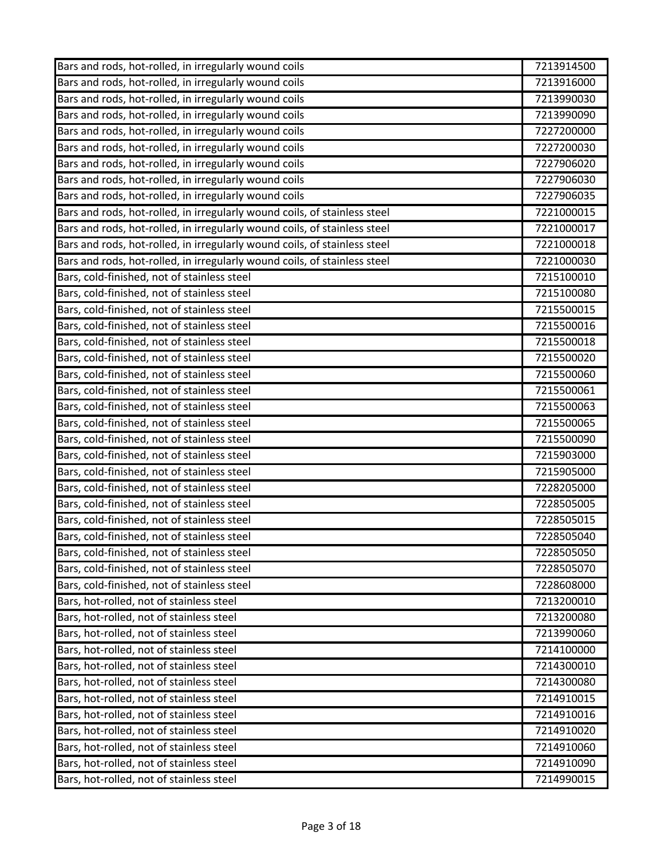| Bars and rods, hot-rolled, in irregularly wound coils                     | 7213914500 |
|---------------------------------------------------------------------------|------------|
| Bars and rods, hot-rolled, in irregularly wound coils                     | 7213916000 |
| Bars and rods, hot-rolled, in irregularly wound coils                     | 7213990030 |
| Bars and rods, hot-rolled, in irregularly wound coils                     | 7213990090 |
| Bars and rods, hot-rolled, in irregularly wound coils                     | 7227200000 |
| Bars and rods, hot-rolled, in irregularly wound coils                     | 7227200030 |
| Bars and rods, hot-rolled, in irregularly wound coils                     | 7227906020 |
| Bars and rods, hot-rolled, in irregularly wound coils                     | 7227906030 |
| Bars and rods, hot-rolled, in irregularly wound coils                     | 7227906035 |
| Bars and rods, hot-rolled, in irregularly wound coils, of stainless steel | 7221000015 |
| Bars and rods, hot-rolled, in irregularly wound coils, of stainless steel | 7221000017 |
| Bars and rods, hot-rolled, in irregularly wound coils, of stainless steel | 7221000018 |
| Bars and rods, hot-rolled, in irregularly wound coils, of stainless steel | 7221000030 |
| Bars, cold-finished, not of stainless steel                               | 7215100010 |
| Bars, cold-finished, not of stainless steel                               | 7215100080 |
| Bars, cold-finished, not of stainless steel                               | 7215500015 |
| Bars, cold-finished, not of stainless steel                               | 7215500016 |
| Bars, cold-finished, not of stainless steel                               | 7215500018 |
| Bars, cold-finished, not of stainless steel                               | 7215500020 |
| Bars, cold-finished, not of stainless steel                               | 7215500060 |
| Bars, cold-finished, not of stainless steel                               | 7215500061 |
| Bars, cold-finished, not of stainless steel                               | 7215500063 |
| Bars, cold-finished, not of stainless steel                               | 7215500065 |
| Bars, cold-finished, not of stainless steel                               | 7215500090 |
| Bars, cold-finished, not of stainless steel                               | 7215903000 |
| Bars, cold-finished, not of stainless steel                               | 7215905000 |
| Bars, cold-finished, not of stainless steel                               | 7228205000 |
| Bars, cold-finished, not of stainless steel                               | 7228505005 |
| Bars, cold-finished, not of stainless steel                               | 7228505015 |
| Bars, cold-finished, not of stainless steel                               | 7228505040 |
| Bars, cold-finished, not of stainless steel                               | 7228505050 |
| Bars, cold-finished, not of stainless steel                               | 7228505070 |
| Bars, cold-finished, not of stainless steel                               | 7228608000 |
| Bars, hot-rolled, not of stainless steel                                  | 7213200010 |
| Bars, hot-rolled, not of stainless steel                                  | 7213200080 |
| Bars, hot-rolled, not of stainless steel                                  | 7213990060 |
| Bars, hot-rolled, not of stainless steel                                  | 7214100000 |
| Bars, hot-rolled, not of stainless steel                                  | 7214300010 |
| Bars, hot-rolled, not of stainless steel                                  | 7214300080 |
| Bars, hot-rolled, not of stainless steel                                  | 7214910015 |
| Bars, hot-rolled, not of stainless steel                                  | 7214910016 |
| Bars, hot-rolled, not of stainless steel                                  | 7214910020 |
| Bars, hot-rolled, not of stainless steel                                  | 7214910060 |
| Bars, hot-rolled, not of stainless steel                                  | 7214910090 |
| Bars, hot-rolled, not of stainless steel                                  | 7214990015 |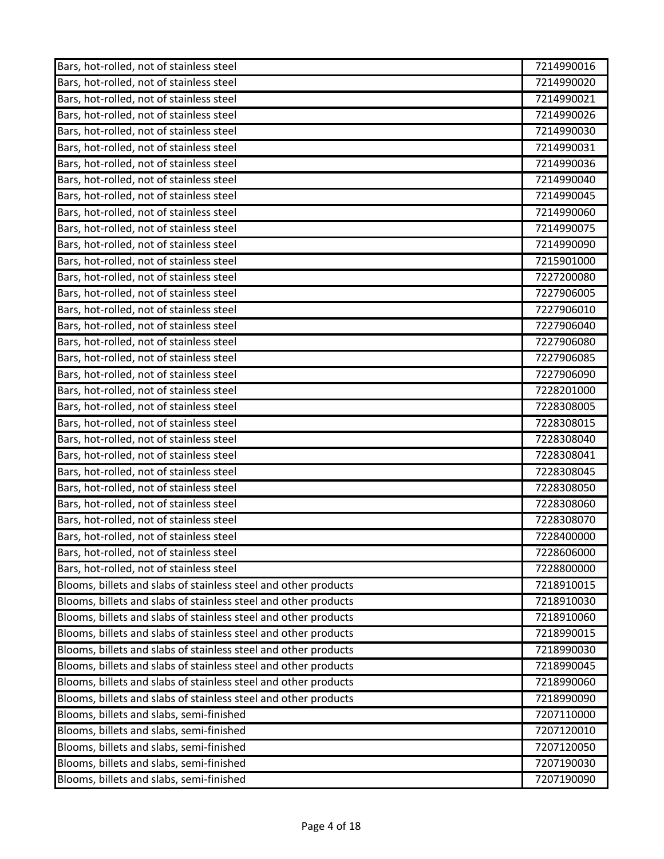| Bars, hot-rolled, not of stainless steel                        | 7214990016 |
|-----------------------------------------------------------------|------------|
| Bars, hot-rolled, not of stainless steel                        | 7214990020 |
| Bars, hot-rolled, not of stainless steel                        | 7214990021 |
| Bars, hot-rolled, not of stainless steel                        | 7214990026 |
| Bars, hot-rolled, not of stainless steel                        | 7214990030 |
| Bars, hot-rolled, not of stainless steel                        | 7214990031 |
| Bars, hot-rolled, not of stainless steel                        | 7214990036 |
| Bars, hot-rolled, not of stainless steel                        | 7214990040 |
| Bars, hot-rolled, not of stainless steel                        | 7214990045 |
| Bars, hot-rolled, not of stainless steel                        | 7214990060 |
| Bars, hot-rolled, not of stainless steel                        | 7214990075 |
| Bars, hot-rolled, not of stainless steel                        | 7214990090 |
| Bars, hot-rolled, not of stainless steel                        | 7215901000 |
| Bars, hot-rolled, not of stainless steel                        | 7227200080 |
| Bars, hot-rolled, not of stainless steel                        | 7227906005 |
| Bars, hot-rolled, not of stainless steel                        | 7227906010 |
| Bars, hot-rolled, not of stainless steel                        | 7227906040 |
| Bars, hot-rolled, not of stainless steel                        | 7227906080 |
| Bars, hot-rolled, not of stainless steel                        | 7227906085 |
| Bars, hot-rolled, not of stainless steel                        | 7227906090 |
| Bars, hot-rolled, not of stainless steel                        | 7228201000 |
| Bars, hot-rolled, not of stainless steel                        | 7228308005 |
| Bars, hot-rolled, not of stainless steel                        | 7228308015 |
| Bars, hot-rolled, not of stainless steel                        | 7228308040 |
| Bars, hot-rolled, not of stainless steel                        | 7228308041 |
| Bars, hot-rolled, not of stainless steel                        | 7228308045 |
| Bars, hot-rolled, not of stainless steel                        | 7228308050 |
| Bars, hot-rolled, not of stainless steel                        | 7228308060 |
| Bars, hot-rolled, not of stainless steel                        | 7228308070 |
| Bars, hot-rolled, not of stainless steel                        | 7228400000 |
| Bars, hot-rolled, not of stainless steel                        | 7228606000 |
| Bars, hot-rolled, not of stainless steel                        | 7228800000 |
| Blooms, billets and slabs of stainless steel and other products | 7218910015 |
| Blooms, billets and slabs of stainless steel and other products | 7218910030 |
| Blooms, billets and slabs of stainless steel and other products | 7218910060 |
| Blooms, billets and slabs of stainless steel and other products | 7218990015 |
| Blooms, billets and slabs of stainless steel and other products | 7218990030 |
| Blooms, billets and slabs of stainless steel and other products | 7218990045 |
| Blooms, billets and slabs of stainless steel and other products | 7218990060 |
| Blooms, billets and slabs of stainless steel and other products | 7218990090 |
| Blooms, billets and slabs, semi-finished                        | 7207110000 |
| Blooms, billets and slabs, semi-finished                        | 7207120010 |
| Blooms, billets and slabs, semi-finished                        | 7207120050 |
| Blooms, billets and slabs, semi-finished                        | 7207190030 |
| Blooms, billets and slabs, semi-finished                        | 7207190090 |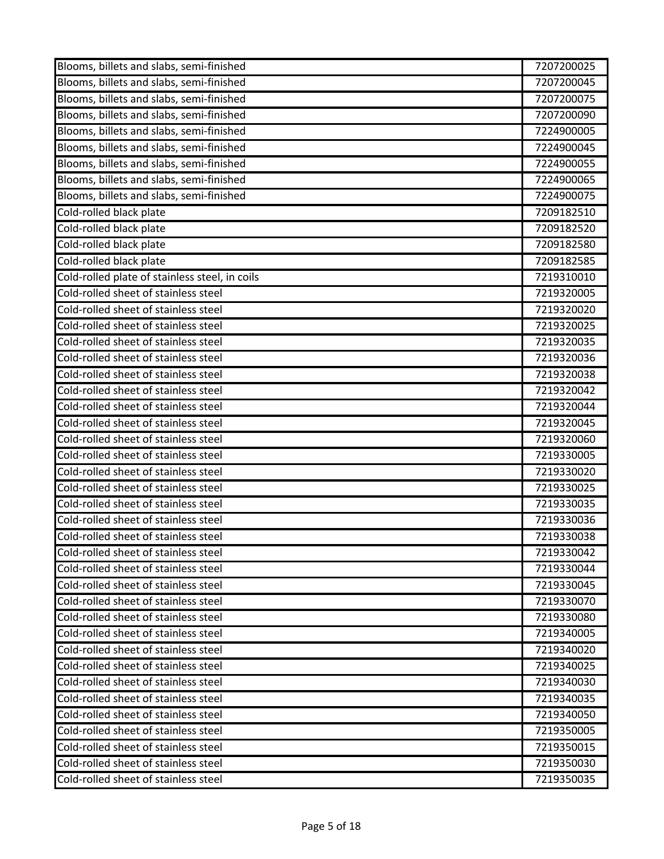| Blooms, billets and slabs, semi-finished       | 7207200025 |
|------------------------------------------------|------------|
| Blooms, billets and slabs, semi-finished       | 7207200045 |
| Blooms, billets and slabs, semi-finished       | 7207200075 |
| Blooms, billets and slabs, semi-finished       | 7207200090 |
| Blooms, billets and slabs, semi-finished       | 7224900005 |
| Blooms, billets and slabs, semi-finished       | 7224900045 |
| Blooms, billets and slabs, semi-finished       | 7224900055 |
| Blooms, billets and slabs, semi-finished       | 7224900065 |
| Blooms, billets and slabs, semi-finished       | 7224900075 |
| Cold-rolled black plate                        | 7209182510 |
| Cold-rolled black plate                        | 7209182520 |
| Cold-rolled black plate                        | 7209182580 |
| Cold-rolled black plate                        | 7209182585 |
| Cold-rolled plate of stainless steel, in coils | 7219310010 |
| Cold-rolled sheet of stainless steel           | 7219320005 |
| Cold-rolled sheet of stainless steel           | 7219320020 |
| Cold-rolled sheet of stainless steel           | 7219320025 |
| Cold-rolled sheet of stainless steel           | 7219320035 |
| Cold-rolled sheet of stainless steel           | 7219320036 |
| Cold-rolled sheet of stainless steel           | 7219320038 |
| Cold-rolled sheet of stainless steel           | 7219320042 |
| Cold-rolled sheet of stainless steel           | 7219320044 |
| Cold-rolled sheet of stainless steel           | 7219320045 |
| Cold-rolled sheet of stainless steel           | 7219320060 |
| Cold-rolled sheet of stainless steel           | 7219330005 |
| Cold-rolled sheet of stainless steel           | 7219330020 |
| Cold-rolled sheet of stainless steel           | 7219330025 |
| Cold-rolled sheet of stainless steel           | 7219330035 |
| Cold-rolled sheet of stainless steel           | 7219330036 |
| Cold-rolled sheet of stainless steel           | 7219330038 |
| Cold-rolled sheet of stainless steel           | 7219330042 |
| Cold-rolled sheet of stainless steel           | 7219330044 |
| Cold-rolled sheet of stainless steel           | 7219330045 |
| Cold-rolled sheet of stainless steel           | 7219330070 |
| Cold-rolled sheet of stainless steel           | 7219330080 |
| Cold-rolled sheet of stainless steel           | 7219340005 |
| Cold-rolled sheet of stainless steel           | 7219340020 |
| Cold-rolled sheet of stainless steel           | 7219340025 |
| Cold-rolled sheet of stainless steel           | 7219340030 |
| Cold-rolled sheet of stainless steel           | 7219340035 |
| Cold-rolled sheet of stainless steel           | 7219340050 |
| Cold-rolled sheet of stainless steel           | 7219350005 |
| Cold-rolled sheet of stainless steel           | 7219350015 |
| Cold-rolled sheet of stainless steel           | 7219350030 |
| Cold-rolled sheet of stainless steel           | 7219350035 |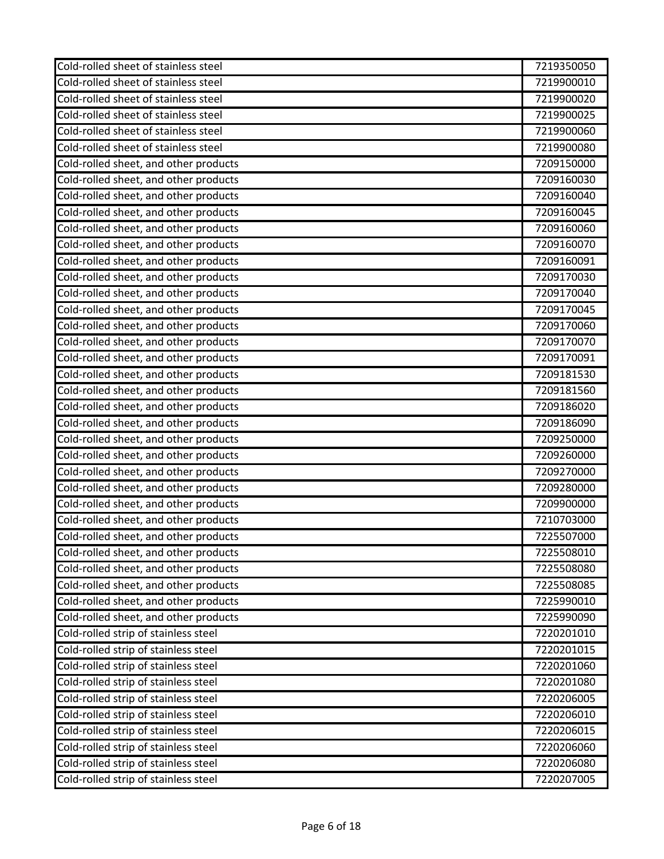| Cold-rolled sheet of stainless steel  | 7219350050 |
|---------------------------------------|------------|
| Cold-rolled sheet of stainless steel  | 7219900010 |
| Cold-rolled sheet of stainless steel  | 7219900020 |
| Cold-rolled sheet of stainless steel  | 7219900025 |
| Cold-rolled sheet of stainless steel  | 7219900060 |
| Cold-rolled sheet of stainless steel  | 7219900080 |
| Cold-rolled sheet, and other products | 7209150000 |
| Cold-rolled sheet, and other products | 7209160030 |
| Cold-rolled sheet, and other products | 7209160040 |
| Cold-rolled sheet, and other products | 7209160045 |
| Cold-rolled sheet, and other products | 7209160060 |
| Cold-rolled sheet, and other products | 7209160070 |
| Cold-rolled sheet, and other products | 7209160091 |
| Cold-rolled sheet, and other products | 7209170030 |
| Cold-rolled sheet, and other products | 7209170040 |
| Cold-rolled sheet, and other products | 7209170045 |
| Cold-rolled sheet, and other products | 7209170060 |
| Cold-rolled sheet, and other products | 7209170070 |
| Cold-rolled sheet, and other products | 7209170091 |
| Cold-rolled sheet, and other products | 7209181530 |
| Cold-rolled sheet, and other products | 7209181560 |
| Cold-rolled sheet, and other products | 7209186020 |
| Cold-rolled sheet, and other products | 7209186090 |
| Cold-rolled sheet, and other products | 7209250000 |
| Cold-rolled sheet, and other products | 7209260000 |
| Cold-rolled sheet, and other products | 7209270000 |
| Cold-rolled sheet, and other products | 7209280000 |
| Cold-rolled sheet, and other products | 7209900000 |
| Cold-rolled sheet, and other products | 7210703000 |
| Cold-rolled sheet, and other products | 7225507000 |
| Cold-rolled sheet, and other products | 7225508010 |
| Cold-rolled sheet, and other products | 7225508080 |
| Cold-rolled sheet, and other products | 7225508085 |
| Cold-rolled sheet, and other products | 7225990010 |
| Cold-rolled sheet, and other products | 7225990090 |
| Cold-rolled strip of stainless steel  | 7220201010 |
| Cold-rolled strip of stainless steel  | 7220201015 |
| Cold-rolled strip of stainless steel  | 7220201060 |
| Cold-rolled strip of stainless steel  | 7220201080 |
| Cold-rolled strip of stainless steel  | 7220206005 |
| Cold-rolled strip of stainless steel  | 7220206010 |
| Cold-rolled strip of stainless steel  | 7220206015 |
| Cold-rolled strip of stainless steel  | 7220206060 |
| Cold-rolled strip of stainless steel  | 7220206080 |
| Cold-rolled strip of stainless steel  | 7220207005 |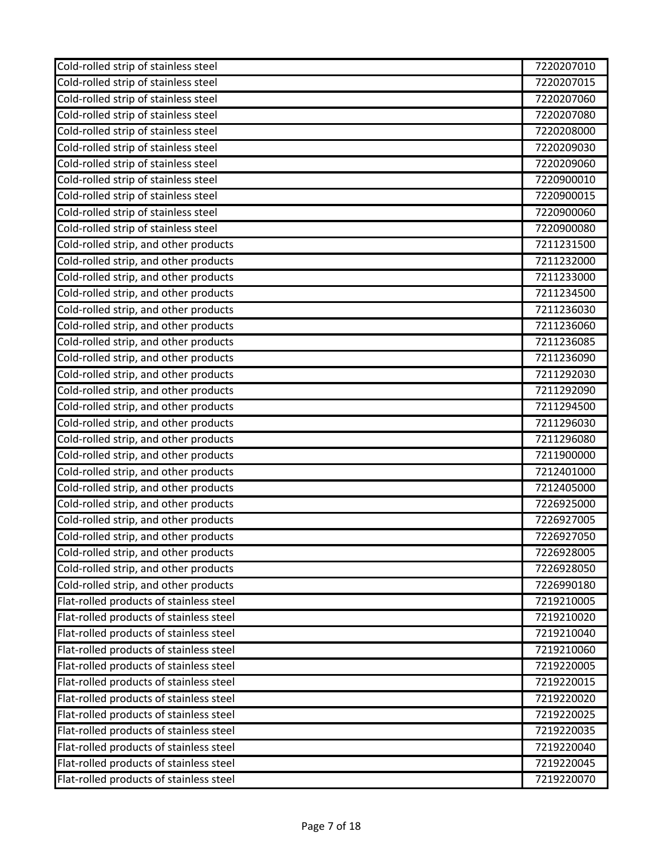| Cold-rolled strip of stainless steel    | 7220207010 |
|-----------------------------------------|------------|
| Cold-rolled strip of stainless steel    | 7220207015 |
| Cold-rolled strip of stainless steel    | 7220207060 |
| Cold-rolled strip of stainless steel    | 7220207080 |
| Cold-rolled strip of stainless steel    | 7220208000 |
| Cold-rolled strip of stainless steel    | 7220209030 |
| Cold-rolled strip of stainless steel    | 7220209060 |
| Cold-rolled strip of stainless steel    | 7220900010 |
| Cold-rolled strip of stainless steel    | 7220900015 |
| Cold-rolled strip of stainless steel    | 7220900060 |
| Cold-rolled strip of stainless steel    | 7220900080 |
| Cold-rolled strip, and other products   | 7211231500 |
| Cold-rolled strip, and other products   | 7211232000 |
| Cold-rolled strip, and other products   | 7211233000 |
| Cold-rolled strip, and other products   | 7211234500 |
| Cold-rolled strip, and other products   | 7211236030 |
| Cold-rolled strip, and other products   | 7211236060 |
| Cold-rolled strip, and other products   | 7211236085 |
| Cold-rolled strip, and other products   | 7211236090 |
| Cold-rolled strip, and other products   | 7211292030 |
| Cold-rolled strip, and other products   | 7211292090 |
| Cold-rolled strip, and other products   | 7211294500 |
| Cold-rolled strip, and other products   | 7211296030 |
| Cold-rolled strip, and other products   | 7211296080 |
| Cold-rolled strip, and other products   | 7211900000 |
| Cold-rolled strip, and other products   | 7212401000 |
| Cold-rolled strip, and other products   | 7212405000 |
| Cold-rolled strip, and other products   | 7226925000 |
| Cold-rolled strip, and other products   | 7226927005 |
| Cold-rolled strip, and other products   | 7226927050 |
| Cold-rolled strip, and other products   | 7226928005 |
| Cold-rolled strip, and other products   | 7226928050 |
| Cold-rolled strip, and other products   | 7226990180 |
| Flat-rolled products of stainless steel | 7219210005 |
| Flat-rolled products of stainless steel | 7219210020 |
| Flat-rolled products of stainless steel | 7219210040 |
| Flat-rolled products of stainless steel | 7219210060 |
| Flat-rolled products of stainless steel | 7219220005 |
| Flat-rolled products of stainless steel | 7219220015 |
| Flat-rolled products of stainless steel | 7219220020 |
| Flat-rolled products of stainless steel | 7219220025 |
| Flat-rolled products of stainless steel | 7219220035 |
| Flat-rolled products of stainless steel | 7219220040 |
| Flat-rolled products of stainless steel | 7219220045 |
| Flat-rolled products of stainless steel | 7219220070 |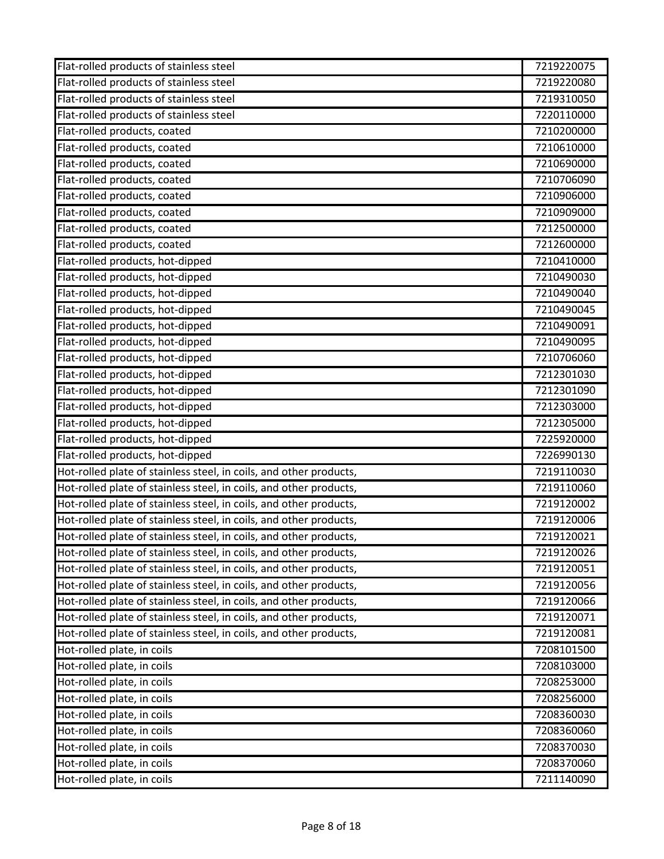| Flat-rolled products of stainless steel                            | 7219220075 |
|--------------------------------------------------------------------|------------|
| Flat-rolled products of stainless steel                            | 7219220080 |
| Flat-rolled products of stainless steel                            | 7219310050 |
| Flat-rolled products of stainless steel                            | 7220110000 |
| Flat-rolled products, coated                                       | 7210200000 |
| Flat-rolled products, coated                                       | 7210610000 |
| Flat-rolled products, coated                                       | 7210690000 |
| Flat-rolled products, coated                                       | 7210706090 |
| Flat-rolled products, coated                                       | 7210906000 |
| Flat-rolled products, coated                                       | 7210909000 |
| Flat-rolled products, coated                                       | 7212500000 |
| Flat-rolled products, coated                                       | 7212600000 |
| Flat-rolled products, hot-dipped                                   | 7210410000 |
| Flat-rolled products, hot-dipped                                   | 7210490030 |
| Flat-rolled products, hot-dipped                                   | 7210490040 |
| Flat-rolled products, hot-dipped                                   | 7210490045 |
| Flat-rolled products, hot-dipped                                   | 7210490091 |
| Flat-rolled products, hot-dipped                                   | 7210490095 |
| Flat-rolled products, hot-dipped                                   | 7210706060 |
| Flat-rolled products, hot-dipped                                   | 7212301030 |
| Flat-rolled products, hot-dipped                                   | 7212301090 |
| Flat-rolled products, hot-dipped                                   | 7212303000 |
| Flat-rolled products, hot-dipped                                   | 7212305000 |
| Flat-rolled products, hot-dipped                                   | 7225920000 |
| Flat-rolled products, hot-dipped                                   | 7226990130 |
| Hot-rolled plate of stainless steel, in coils, and other products, | 7219110030 |
| Hot-rolled plate of stainless steel, in coils, and other products, | 7219110060 |
| Hot-rolled plate of stainless steel, in coils, and other products, | 7219120002 |
| Hot-rolled plate of stainless steel, in coils, and other products, | 7219120006 |
| Hot-rolled plate of stainless steel, in coils, and other products, | 7219120021 |
| Hot-rolled plate of stainless steel, in coils, and other products, | 7219120026 |
| Hot-rolled plate of stainless steel, in coils, and other products, | 7219120051 |
| Hot-rolled plate of stainless steel, in coils, and other products, | 7219120056 |
| Hot-rolled plate of stainless steel, in coils, and other products, | 7219120066 |
| Hot-rolled plate of stainless steel, in coils, and other products, | 7219120071 |
| Hot-rolled plate of stainless steel, in coils, and other products, | 7219120081 |
| Hot-rolled plate, in coils                                         | 7208101500 |
| Hot-rolled plate, in coils                                         | 7208103000 |
| Hot-rolled plate, in coils                                         | 7208253000 |
| Hot-rolled plate, in coils                                         | 7208256000 |
| Hot-rolled plate, in coils                                         | 7208360030 |
| Hot-rolled plate, in coils                                         | 7208360060 |
| Hot-rolled plate, in coils                                         | 7208370030 |
| Hot-rolled plate, in coils                                         | 7208370060 |
| Hot-rolled plate, in coils                                         | 7211140090 |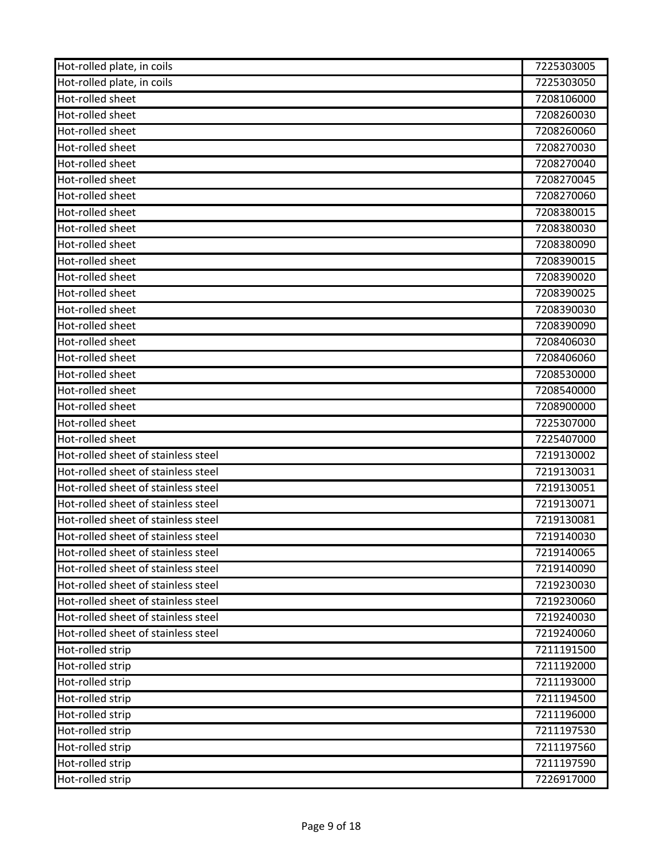| Hot-rolled plate, in coils          | 7225303005 |
|-------------------------------------|------------|
| Hot-rolled plate, in coils          | 7225303050 |
| Hot-rolled sheet                    | 7208106000 |
| Hot-rolled sheet                    | 7208260030 |
| Hot-rolled sheet                    | 7208260060 |
| Hot-rolled sheet                    | 7208270030 |
| Hot-rolled sheet                    | 7208270040 |
| Hot-rolled sheet                    | 7208270045 |
| Hot-rolled sheet                    | 7208270060 |
| Hot-rolled sheet                    | 7208380015 |
| Hot-rolled sheet                    | 7208380030 |
| Hot-rolled sheet                    | 7208380090 |
| Hot-rolled sheet                    | 7208390015 |
| Hot-rolled sheet                    | 7208390020 |
| Hot-rolled sheet                    | 7208390025 |
| Hot-rolled sheet                    | 7208390030 |
| Hot-rolled sheet                    | 7208390090 |
| Hot-rolled sheet                    | 7208406030 |
| Hot-rolled sheet                    | 7208406060 |
| Hot-rolled sheet                    | 7208530000 |
| Hot-rolled sheet                    | 7208540000 |
| Hot-rolled sheet                    | 7208900000 |
| Hot-rolled sheet                    | 7225307000 |
| Hot-rolled sheet                    | 7225407000 |
| Hot-rolled sheet of stainless steel | 7219130002 |
| Hot-rolled sheet of stainless steel | 7219130031 |
| Hot-rolled sheet of stainless steel | 7219130051 |
| Hot-rolled sheet of stainless steel | 7219130071 |
| Hot-rolled sheet of stainless steel | 7219130081 |
| Hot-rolled sheet of stainless steel | 7219140030 |
| Hot-rolled sheet of stainless steel | 7219140065 |
| Hot-rolled sheet of stainless steel | 7219140090 |
| Hot-rolled sheet of stainless steel | 7219230030 |
| Hot-rolled sheet of stainless steel | 7219230060 |
| Hot-rolled sheet of stainless steel | 7219240030 |
| Hot-rolled sheet of stainless steel | 7219240060 |
| Hot-rolled strip                    | 7211191500 |
| Hot-rolled strip                    | 7211192000 |
| Hot-rolled strip                    | 7211193000 |
| Hot-rolled strip                    | 7211194500 |
| Hot-rolled strip                    | 7211196000 |
| Hot-rolled strip                    | 7211197530 |
| Hot-rolled strip                    | 7211197560 |
| Hot-rolled strip                    | 7211197590 |
| Hot-rolled strip                    | 7226917000 |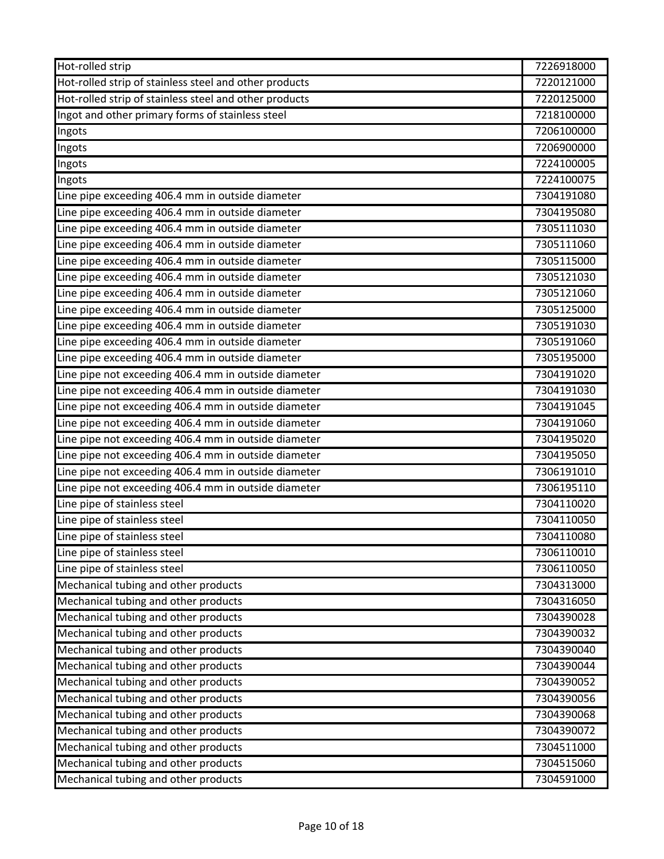| Hot-rolled strip                                       | 7226918000 |
|--------------------------------------------------------|------------|
| Hot-rolled strip of stainless steel and other products | 7220121000 |
| Hot-rolled strip of stainless steel and other products | 7220125000 |
| Ingot and other primary forms of stainless steel       | 7218100000 |
| Ingots                                                 | 7206100000 |
| Ingots                                                 | 7206900000 |
| Ingots                                                 | 7224100005 |
| Ingots                                                 | 7224100075 |
| Line pipe exceeding 406.4 mm in outside diameter       | 7304191080 |
| Line pipe exceeding 406.4 mm in outside diameter       | 7304195080 |
| Line pipe exceeding 406.4 mm in outside diameter       | 7305111030 |
| Line pipe exceeding 406.4 mm in outside diameter       | 7305111060 |
| Line pipe exceeding 406.4 mm in outside diameter       | 7305115000 |
| Line pipe exceeding 406.4 mm in outside diameter       | 7305121030 |
| Line pipe exceeding 406.4 mm in outside diameter       | 7305121060 |
| Line pipe exceeding 406.4 mm in outside diameter       | 7305125000 |
| Line pipe exceeding 406.4 mm in outside diameter       | 7305191030 |
| Line pipe exceeding 406.4 mm in outside diameter       | 7305191060 |
| Line pipe exceeding 406.4 mm in outside diameter       | 7305195000 |
| Line pipe not exceeding 406.4 mm in outside diameter   | 7304191020 |
| Line pipe not exceeding 406.4 mm in outside diameter   | 7304191030 |
| Line pipe not exceeding 406.4 mm in outside diameter   | 7304191045 |
| Line pipe not exceeding 406.4 mm in outside diameter   | 7304191060 |
| Line pipe not exceeding 406.4 mm in outside diameter   | 7304195020 |
| Line pipe not exceeding 406.4 mm in outside diameter   | 7304195050 |
| Line pipe not exceeding 406.4 mm in outside diameter   | 7306191010 |
| Line pipe not exceeding 406.4 mm in outside diameter   | 7306195110 |
| Line pipe of stainless steel                           | 7304110020 |
| Line pipe of stainless steel                           | 7304110050 |
| Line pipe of stainless steel                           | 7304110080 |
| Line pipe of stainless steel                           | 7306110010 |
| Line pipe of stainless steel                           | 7306110050 |
| Mechanical tubing and other products                   | 7304313000 |
| Mechanical tubing and other products                   | 7304316050 |
| Mechanical tubing and other products                   | 7304390028 |
| Mechanical tubing and other products                   | 7304390032 |
| Mechanical tubing and other products                   | 7304390040 |
| Mechanical tubing and other products                   | 7304390044 |
| Mechanical tubing and other products                   | 7304390052 |
| Mechanical tubing and other products                   | 7304390056 |
| Mechanical tubing and other products                   | 7304390068 |
| Mechanical tubing and other products                   | 7304390072 |
| Mechanical tubing and other products                   | 7304511000 |
| Mechanical tubing and other products                   | 7304515060 |
| Mechanical tubing and other products                   | 7304591000 |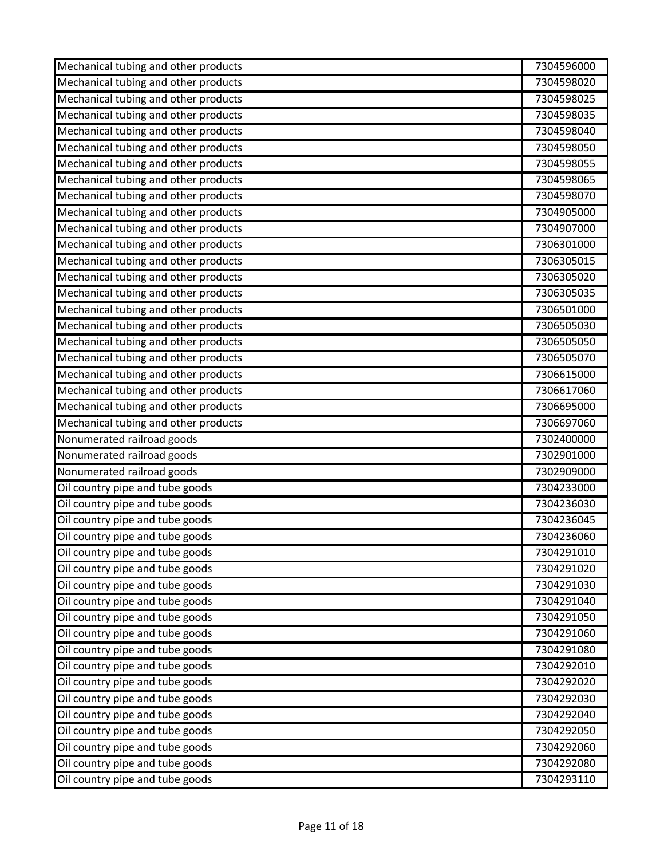| Mechanical tubing and other products | 7304596000 |
|--------------------------------------|------------|
| Mechanical tubing and other products | 7304598020 |
| Mechanical tubing and other products | 7304598025 |
| Mechanical tubing and other products | 7304598035 |
| Mechanical tubing and other products | 7304598040 |
| Mechanical tubing and other products | 7304598050 |
| Mechanical tubing and other products | 7304598055 |
| Mechanical tubing and other products | 7304598065 |
| Mechanical tubing and other products | 7304598070 |
| Mechanical tubing and other products | 7304905000 |
| Mechanical tubing and other products | 7304907000 |
| Mechanical tubing and other products | 7306301000 |
| Mechanical tubing and other products | 7306305015 |
| Mechanical tubing and other products | 7306305020 |
| Mechanical tubing and other products | 7306305035 |
| Mechanical tubing and other products | 7306501000 |
| Mechanical tubing and other products | 7306505030 |
| Mechanical tubing and other products | 7306505050 |
| Mechanical tubing and other products | 7306505070 |
| Mechanical tubing and other products | 7306615000 |
| Mechanical tubing and other products | 7306617060 |
| Mechanical tubing and other products | 7306695000 |
| Mechanical tubing and other products | 7306697060 |
| Nonumerated railroad goods           | 7302400000 |
| Nonumerated railroad goods           | 7302901000 |
| Nonumerated railroad goods           | 7302909000 |
| Oil country pipe and tube goods      | 7304233000 |
| Oil country pipe and tube goods      | 7304236030 |
| Oil country pipe and tube goods      | 7304236045 |
| Oil country pipe and tube goods      | 7304236060 |
| Oil country pipe and tube goods      | 7304291010 |
| Oil country pipe and tube goods      | 7304291020 |
| Oil country pipe and tube goods      | 7304291030 |
| Oil country pipe and tube goods      | 7304291040 |
| Oil country pipe and tube goods      | 7304291050 |
| Oil country pipe and tube goods      | 7304291060 |
| Oil country pipe and tube goods      | 7304291080 |
| Oil country pipe and tube goods      | 7304292010 |
| Oil country pipe and tube goods      | 7304292020 |
| Oil country pipe and tube goods      | 7304292030 |
| Oil country pipe and tube goods      | 7304292040 |
| Oil country pipe and tube goods      | 7304292050 |
| Oil country pipe and tube goods      | 7304292060 |
| Oil country pipe and tube goods      | 7304292080 |
| Oil country pipe and tube goods      | 7304293110 |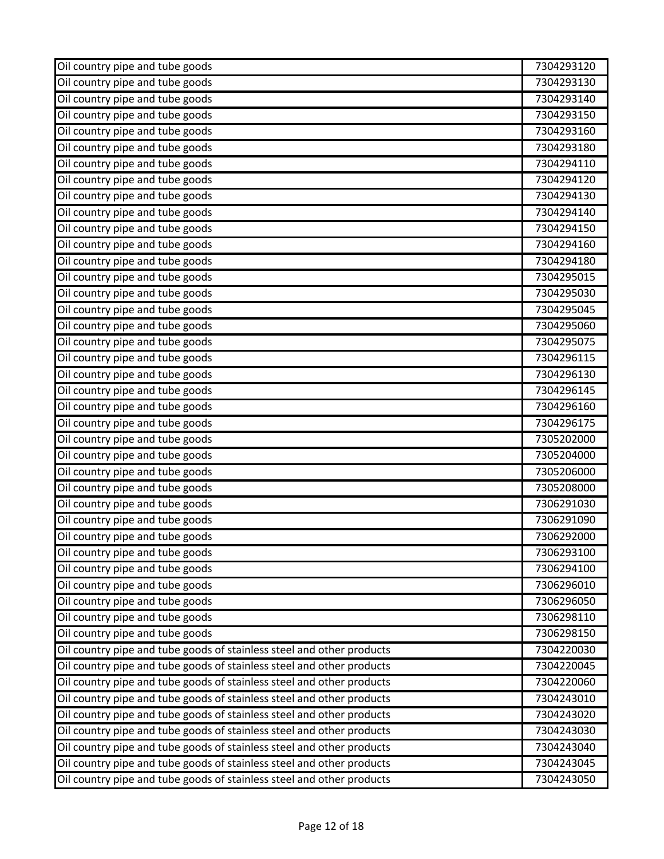| Oil country pipe and tube goods                                       | 7304293120 |
|-----------------------------------------------------------------------|------------|
| Oil country pipe and tube goods                                       | 7304293130 |
| Oil country pipe and tube goods                                       | 7304293140 |
| Oil country pipe and tube goods                                       | 7304293150 |
| Oil country pipe and tube goods                                       | 7304293160 |
| Oil country pipe and tube goods                                       | 7304293180 |
| Oil country pipe and tube goods                                       | 7304294110 |
| Oil country pipe and tube goods                                       | 7304294120 |
| Oil country pipe and tube goods                                       | 7304294130 |
| Oil country pipe and tube goods                                       | 7304294140 |
| Oil country pipe and tube goods                                       | 7304294150 |
| Oil country pipe and tube goods                                       | 7304294160 |
| Oil country pipe and tube goods                                       | 7304294180 |
| Oil country pipe and tube goods                                       | 7304295015 |
| Oil country pipe and tube goods                                       | 7304295030 |
| Oil country pipe and tube goods                                       | 7304295045 |
| Oil country pipe and tube goods                                       | 7304295060 |
| Oil country pipe and tube goods                                       | 7304295075 |
| Oil country pipe and tube goods                                       | 7304296115 |
| Oil country pipe and tube goods                                       | 7304296130 |
| Oil country pipe and tube goods                                       | 7304296145 |
| Oil country pipe and tube goods                                       | 7304296160 |
| Oil country pipe and tube goods                                       | 7304296175 |
| Oil country pipe and tube goods                                       | 7305202000 |
| Oil country pipe and tube goods                                       | 7305204000 |
| Oil country pipe and tube goods                                       | 7305206000 |
| Oil country pipe and tube goods                                       | 7305208000 |
| Oil country pipe and tube goods                                       | 7306291030 |
| Oil country pipe and tube goods                                       | 7306291090 |
| Oil country pipe and tube goods                                       | 7306292000 |
| Oil country pipe and tube goods                                       | 7306293100 |
| Oil country pipe and tube goods                                       | 7306294100 |
| Oil country pipe and tube goods                                       | 7306296010 |
| Oil country pipe and tube goods                                       | 7306296050 |
| Oil country pipe and tube goods                                       | 7306298110 |
| Oil country pipe and tube goods                                       | 7306298150 |
| Oil country pipe and tube goods of stainless steel and other products | 7304220030 |
| Oil country pipe and tube goods of stainless steel and other products | 7304220045 |
| Oil country pipe and tube goods of stainless steel and other products | 7304220060 |
| Oil country pipe and tube goods of stainless steel and other products | 7304243010 |
| Oil country pipe and tube goods of stainless steel and other products | 7304243020 |
| Oil country pipe and tube goods of stainless steel and other products | 7304243030 |
| Oil country pipe and tube goods of stainless steel and other products | 7304243040 |
| Oil country pipe and tube goods of stainless steel and other products | 7304243045 |
| Oil country pipe and tube goods of stainless steel and other products | 7304243050 |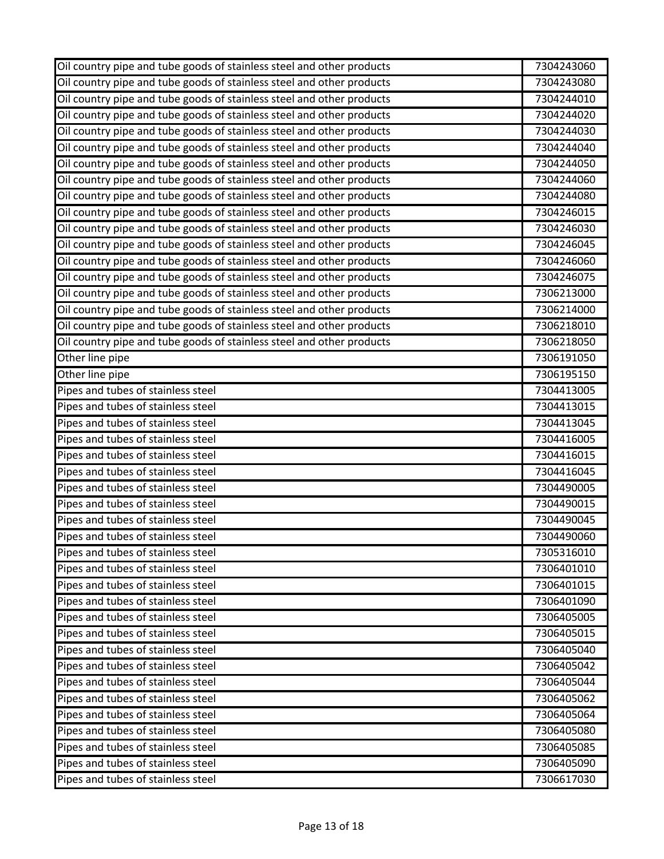| Oil country pipe and tube goods of stainless steel and other products | 7304243060 |
|-----------------------------------------------------------------------|------------|
| Oil country pipe and tube goods of stainless steel and other products | 7304243080 |
| Oil country pipe and tube goods of stainless steel and other products | 7304244010 |
| Oil country pipe and tube goods of stainless steel and other products | 7304244020 |
| Oil country pipe and tube goods of stainless steel and other products | 7304244030 |
| Oil country pipe and tube goods of stainless steel and other products | 7304244040 |
| Oil country pipe and tube goods of stainless steel and other products | 7304244050 |
| Oil country pipe and tube goods of stainless steel and other products | 7304244060 |
| Oil country pipe and tube goods of stainless steel and other products | 7304244080 |
| Oil country pipe and tube goods of stainless steel and other products | 7304246015 |
| Oil country pipe and tube goods of stainless steel and other products | 7304246030 |
| Oil country pipe and tube goods of stainless steel and other products | 7304246045 |
| Oil country pipe and tube goods of stainless steel and other products | 7304246060 |
| Oil country pipe and tube goods of stainless steel and other products | 7304246075 |
| Oil country pipe and tube goods of stainless steel and other products | 7306213000 |
| Oil country pipe and tube goods of stainless steel and other products | 7306214000 |
| Oil country pipe and tube goods of stainless steel and other products | 7306218010 |
| Oil country pipe and tube goods of stainless steel and other products | 7306218050 |
| Other line pipe                                                       | 7306191050 |
| Other line pipe                                                       | 7306195150 |
| Pipes and tubes of stainless steel                                    | 7304413005 |
| Pipes and tubes of stainless steel                                    | 7304413015 |
| Pipes and tubes of stainless steel                                    | 7304413045 |
| Pipes and tubes of stainless steel                                    | 7304416005 |
| Pipes and tubes of stainless steel                                    | 7304416015 |
| Pipes and tubes of stainless steel                                    | 7304416045 |
| Pipes and tubes of stainless steel                                    | 7304490005 |
| Pipes and tubes of stainless steel                                    | 7304490015 |
| Pipes and tubes of stainless steel                                    | 7304490045 |
| Pipes and tubes of stainless steel                                    | 7304490060 |
| Pipes and tubes of stainless steel                                    | 7305316010 |
| Pipes and tubes of stainless steel                                    | 7306401010 |
| Pipes and tubes of stainless steel                                    | 7306401015 |
| Pipes and tubes of stainless steel                                    | 7306401090 |
| Pipes and tubes of stainless steel                                    | 7306405005 |
| Pipes and tubes of stainless steel                                    | 7306405015 |
| Pipes and tubes of stainless steel                                    | 7306405040 |
| Pipes and tubes of stainless steel                                    | 7306405042 |
| Pipes and tubes of stainless steel                                    | 7306405044 |
| Pipes and tubes of stainless steel                                    | 7306405062 |
| Pipes and tubes of stainless steel                                    | 7306405064 |
| Pipes and tubes of stainless steel                                    | 7306405080 |
| Pipes and tubes of stainless steel                                    | 7306405085 |
| Pipes and tubes of stainless steel                                    | 7306405090 |
| Pipes and tubes of stainless steel                                    | 7306617030 |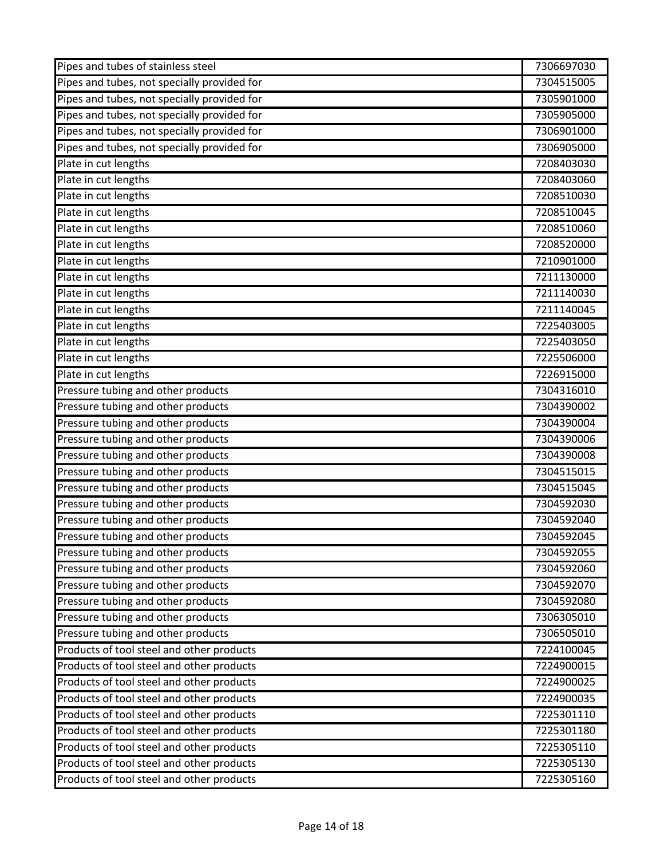| Pipes and tubes of stainless steel          | 7306697030 |
|---------------------------------------------|------------|
| Pipes and tubes, not specially provided for | 7304515005 |
| Pipes and tubes, not specially provided for | 7305901000 |
| Pipes and tubes, not specially provided for | 7305905000 |
| Pipes and tubes, not specially provided for | 7306901000 |
| Pipes and tubes, not specially provided for | 7306905000 |
| Plate in cut lengths                        | 7208403030 |
| Plate in cut lengths                        | 7208403060 |
| Plate in cut lengths                        | 7208510030 |
| Plate in cut lengths                        | 7208510045 |
| Plate in cut lengths                        | 7208510060 |
| Plate in cut lengths                        | 7208520000 |
| Plate in cut lengths                        | 7210901000 |
| Plate in cut lengths                        | 7211130000 |
| Plate in cut lengths                        | 7211140030 |
| Plate in cut lengths                        | 7211140045 |
| Plate in cut lengths                        | 7225403005 |
| Plate in cut lengths                        | 7225403050 |
| Plate in cut lengths                        | 7225506000 |
| Plate in cut lengths                        | 7226915000 |
| Pressure tubing and other products          | 7304316010 |
| Pressure tubing and other products          | 7304390002 |
| Pressure tubing and other products          | 7304390004 |
| Pressure tubing and other products          | 7304390006 |
| Pressure tubing and other products          | 7304390008 |
| Pressure tubing and other products          | 7304515015 |
| Pressure tubing and other products          | 7304515045 |
| Pressure tubing and other products          | 7304592030 |
| Pressure tubing and other products          | 7304592040 |
| Pressure tubing and other products          | 7304592045 |
| Pressure tubing and other products          | 7304592055 |
| Pressure tubing and other products          | 7304592060 |
| Pressure tubing and other products          | 7304592070 |
| Pressure tubing and other products          | 7304592080 |
| Pressure tubing and other products          | 7306305010 |
| Pressure tubing and other products          | 7306505010 |
| Products of tool steel and other products   | 7224100045 |
| Products of tool steel and other products   | 7224900015 |
| Products of tool steel and other products   | 7224900025 |
| Products of tool steel and other products   | 7224900035 |
| Products of tool steel and other products   | 7225301110 |
| Products of tool steel and other products   | 7225301180 |
| Products of tool steel and other products   | 7225305110 |
| Products of tool steel and other products   | 7225305130 |
| Products of tool steel and other products   | 7225305160 |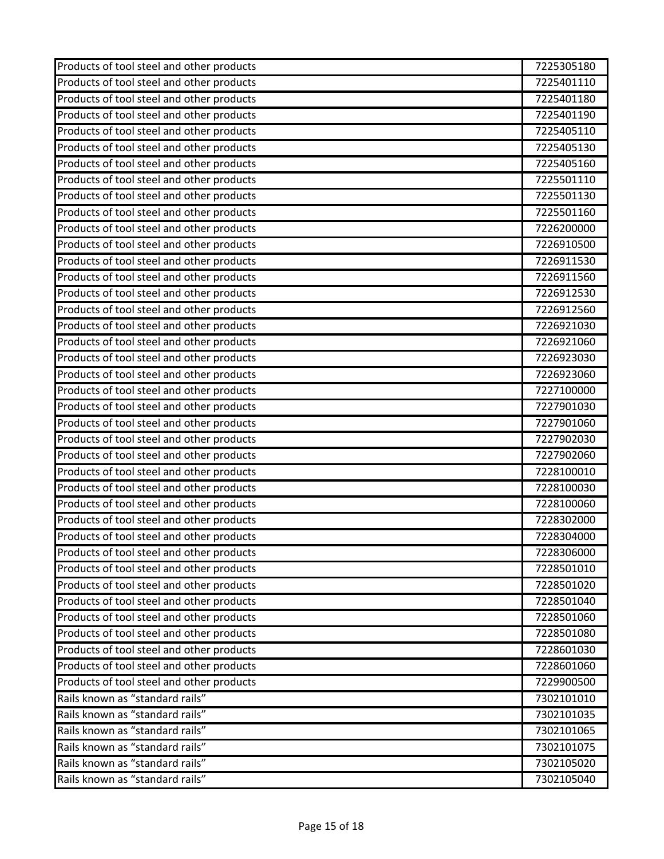| Products of tool steel and other products | 7225305180 |
|-------------------------------------------|------------|
| Products of tool steel and other products | 7225401110 |
| Products of tool steel and other products | 7225401180 |
| Products of tool steel and other products | 7225401190 |
| Products of tool steel and other products | 7225405110 |
| Products of tool steel and other products | 7225405130 |
| Products of tool steel and other products | 7225405160 |
| Products of tool steel and other products | 7225501110 |
| Products of tool steel and other products | 7225501130 |
| Products of tool steel and other products | 7225501160 |
| Products of tool steel and other products | 7226200000 |
| Products of tool steel and other products | 7226910500 |
| Products of tool steel and other products | 7226911530 |
| Products of tool steel and other products | 7226911560 |
| Products of tool steel and other products | 7226912530 |
| Products of tool steel and other products | 7226912560 |
| Products of tool steel and other products | 7226921030 |
| Products of tool steel and other products | 7226921060 |
| Products of tool steel and other products | 7226923030 |
| Products of tool steel and other products | 7226923060 |
| Products of tool steel and other products | 7227100000 |
| Products of tool steel and other products | 7227901030 |
| Products of tool steel and other products | 7227901060 |
| Products of tool steel and other products | 7227902030 |
| Products of tool steel and other products | 7227902060 |
| Products of tool steel and other products | 7228100010 |
| Products of tool steel and other products | 7228100030 |
| Products of tool steel and other products | 7228100060 |
| Products of tool steel and other products | 7228302000 |
| Products of tool steel and other products | 7228304000 |
| Products of tool steel and other products | 7228306000 |
| Products of tool steel and other products | 7228501010 |
| Products of tool steel and other products | 7228501020 |
| Products of tool steel and other products | 7228501040 |
| Products of tool steel and other products | 7228501060 |
| Products of tool steel and other products | 7228501080 |
| Products of tool steel and other products | 7228601030 |
| Products of tool steel and other products | 7228601060 |
| Products of tool steel and other products | 7229900500 |
| Rails known as "standard rails"           | 7302101010 |
| Rails known as "standard rails"           | 7302101035 |
| Rails known as "standard rails"           | 7302101065 |
| Rails known as "standard rails"           | 7302101075 |
| Rails known as "standard rails"           | 7302105020 |
| Rails known as "standard rails"           | 7302105040 |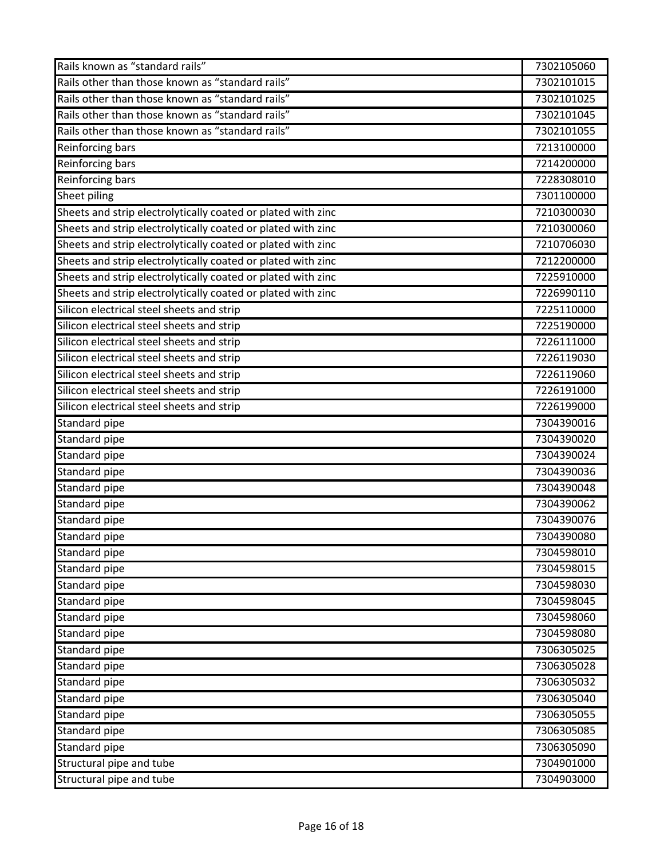| Rails known as "standard rails"                              | 7302105060 |
|--------------------------------------------------------------|------------|
| Rails other than those known as "standard rails"             | 7302101015 |
| Rails other than those known as "standard rails"             | 7302101025 |
| Rails other than those known as "standard rails"             | 7302101045 |
| Rails other than those known as "standard rails"             | 7302101055 |
| Reinforcing bars                                             | 7213100000 |
| Reinforcing bars                                             | 7214200000 |
| <b>Reinforcing bars</b>                                      | 7228308010 |
| Sheet piling                                                 | 7301100000 |
| Sheets and strip electrolytically coated or plated with zinc | 7210300030 |
| Sheets and strip electrolytically coated or plated with zinc | 7210300060 |
| Sheets and strip electrolytically coated or plated with zinc | 7210706030 |
| Sheets and strip electrolytically coated or plated with zinc | 7212200000 |
| Sheets and strip electrolytically coated or plated with zinc | 7225910000 |
| Sheets and strip electrolytically coated or plated with zinc | 7226990110 |
| Silicon electrical steel sheets and strip                    | 7225110000 |
| Silicon electrical steel sheets and strip                    | 7225190000 |
| Silicon electrical steel sheets and strip                    | 7226111000 |
| Silicon electrical steel sheets and strip                    | 7226119030 |
| Silicon electrical steel sheets and strip                    | 7226119060 |
| Silicon electrical steel sheets and strip                    | 7226191000 |
| Silicon electrical steel sheets and strip                    | 7226199000 |
| Standard pipe                                                | 7304390016 |
| Standard pipe                                                | 7304390020 |
| Standard pipe                                                | 7304390024 |
| Standard pipe                                                | 7304390036 |
| Standard pipe                                                | 7304390048 |
| Standard pipe                                                | 7304390062 |
| Standard pipe                                                | 7304390076 |
| Standard pipe                                                | 7304390080 |
| Standard pipe                                                | 7304598010 |
| Standard pipe                                                | 7304598015 |
| Standard pipe                                                | 7304598030 |
| Standard pipe                                                | 7304598045 |
| Standard pipe                                                | 7304598060 |
| Standard pipe                                                | 7304598080 |
| Standard pipe                                                | 7306305025 |
| Standard pipe                                                | 7306305028 |
| Standard pipe                                                | 7306305032 |
| Standard pipe                                                | 7306305040 |
| Standard pipe                                                | 7306305055 |
| Standard pipe                                                | 7306305085 |
| Standard pipe                                                | 7306305090 |
| Structural pipe and tube                                     | 7304901000 |
| Structural pipe and tube                                     | 7304903000 |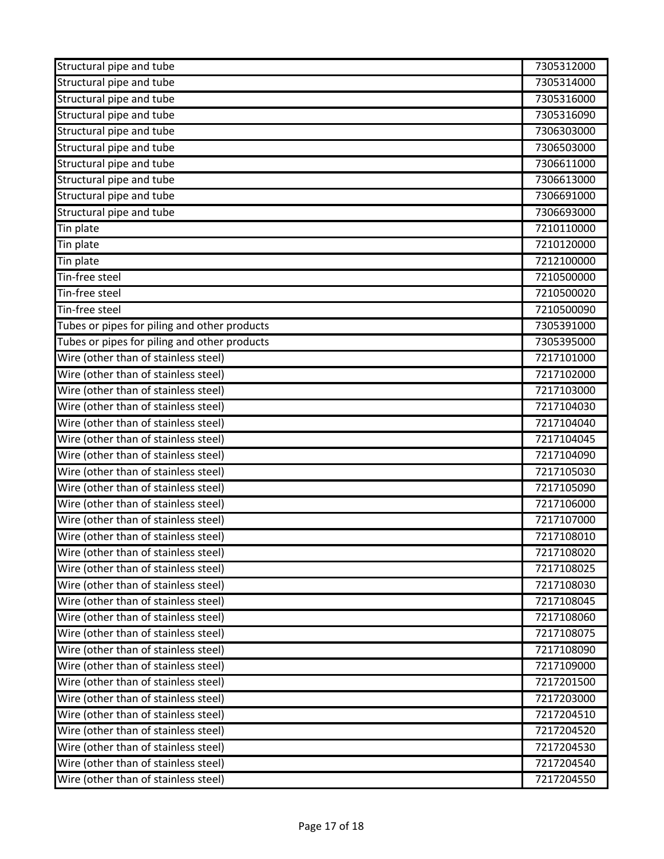| Structural pipe and tube                     | 7305312000 |
|----------------------------------------------|------------|
| Structural pipe and tube                     | 7305314000 |
| Structural pipe and tube                     | 7305316000 |
| Structural pipe and tube                     | 7305316090 |
| Structural pipe and tube                     | 7306303000 |
| Structural pipe and tube                     | 7306503000 |
| Structural pipe and tube                     | 7306611000 |
| Structural pipe and tube                     | 7306613000 |
| Structural pipe and tube                     | 7306691000 |
| Structural pipe and tube                     | 7306693000 |
| Tin plate                                    | 7210110000 |
| Tin plate                                    | 7210120000 |
| Tin plate                                    | 7212100000 |
| Tin-free steel                               | 7210500000 |
| Tin-free steel                               | 7210500020 |
| Tin-free steel                               | 7210500090 |
| Tubes or pipes for piling and other products | 7305391000 |
| Tubes or pipes for piling and other products | 7305395000 |
| Wire (other than of stainless steel)         | 7217101000 |
| Wire (other than of stainless steel)         | 7217102000 |
| Wire (other than of stainless steel)         | 7217103000 |
| Wire (other than of stainless steel)         | 7217104030 |
| Wire (other than of stainless steel)         | 7217104040 |
| Wire (other than of stainless steel)         | 7217104045 |
| Wire (other than of stainless steel)         | 7217104090 |
| Wire (other than of stainless steel)         | 7217105030 |
| Wire (other than of stainless steel)         | 7217105090 |
| Wire (other than of stainless steel)         | 7217106000 |
| Wire (other than of stainless steel)         | 7217107000 |
| Wire (other than of stainless steel)         | 7217108010 |
| Wire (other than of stainless steel)         | 7217108020 |
| Wire (other than of stainless steel)         | 7217108025 |
| Wire (other than of stainless steel)         | 7217108030 |
| Wire (other than of stainless steel)         | 7217108045 |
| Wire (other than of stainless steel)         | 7217108060 |
| Wire (other than of stainless steel)         | 7217108075 |
| Wire (other than of stainless steel)         | 7217108090 |
| Wire (other than of stainless steel)         | 7217109000 |
| Wire (other than of stainless steel)         | 7217201500 |
| Wire (other than of stainless steel)         | 7217203000 |
| Wire (other than of stainless steel)         | 7217204510 |
| Wire (other than of stainless steel)         | 7217204520 |
| Wire (other than of stainless steel)         | 7217204530 |
| Wire (other than of stainless steel)         | 7217204540 |
| Wire (other than of stainless steel)         | 7217204550 |